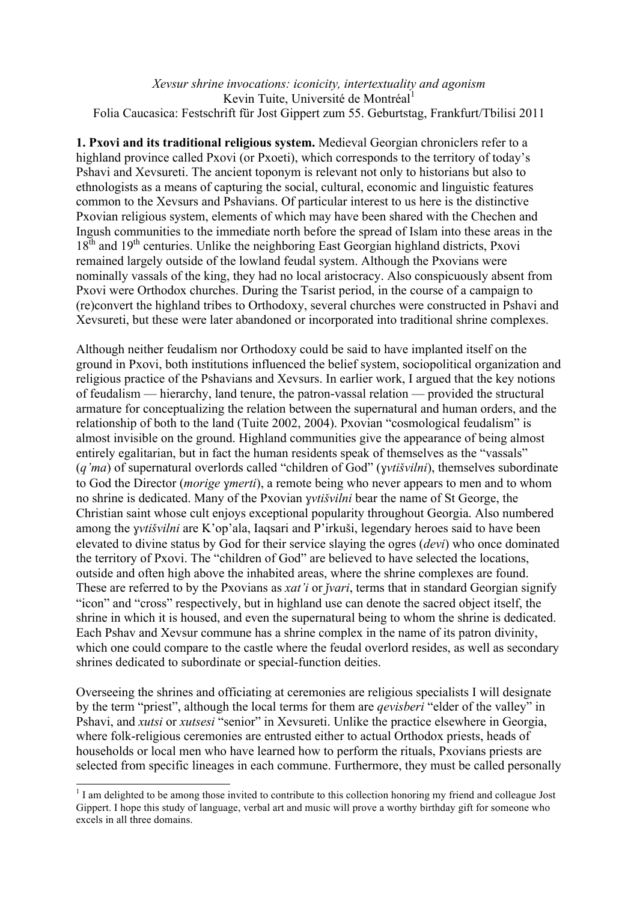*Xevsur shrine invocations: iconicity, intertextuality and agonism* Kevin Tuite, Université de Montréal<sup>1</sup> Folia Caucasica: Festschrift für Jost Gippert zum 55. Geburtstag, Frankfurt/Tbilisi 2011

**1. Pxovi and its traditional religious system.** Medieval Georgian chroniclers refer to a highland province called Pxovi (or Pxoeti), which corresponds to the territory of today's Pshavi and Xevsureti. The ancient toponym is relevant not only to historians but also to ethnologists as a means of capturing the social, cultural, economic and linguistic features common to the Xevsurs and Pshavians. Of particular interest to us here is the distinctive Pxovian religious system, elements of which may have been shared with the Chechen and Ingush communities to the immediate north before the spread of Islam into these areas in the  $18<sup>th</sup>$  and  $19<sup>th</sup>$  centuries. Unlike the neighboring East Georgian highland districts, Pxovi remained largely outside of the lowland feudal system. Although the Pxovians were nominally vassals of the king, they had no local aristocracy. Also conspicuously absent from Pxovi were Orthodox churches. During the Tsarist period, in the course of a campaign to (re)convert the highland tribes to Orthodoxy, several churches were constructed in Pshavi and Xevsureti, but these were later abandoned or incorporated into traditional shrine complexes.

Although neither feudalism nor Orthodoxy could be said to have implanted itself on the ground in Pxovi, both institutions influenced the belief system, sociopolitical organization and religious practice of the Pshavians and Xevsurs. In earlier work, I argued that the key notions of feudalism — hierarchy, land tenure, the patron-vassal relation — provided the structural armature for conceptualizing the relation between the supernatural and human orders, and the relationship of both to the land (Tuite 2002, 2004). Pxovian "cosmological feudalism" is almost invisible on the ground. Highland communities give the appearance of being almost entirely egalitarian, but in fact the human residents speak of themselves as the "vassals" (*q'ma*) of supernatural overlords called "children of God" (*ɣvtišvilni*), themselves subordinate to God the Director (*morige ɣmerti*), a remote being who never appears to men and to whom no shrine is dedicated. Many of the Pxovian *ɣvtišvilni* bear the name of St George, the Christian saint whose cult enjoys exceptional popularity throughout Georgia. Also numbered among the *ɣvtišvilni* are K'op'ala, Iaqsari and P'irkuši, legendary heroes said to have been elevated to divine status by God for their service slaying the ogres (*devi*) who once dominated the territory of Pxovi. The "children of God" are believed to have selected the locations, outside and often high above the inhabited areas, where the shrine complexes are found. These are referred to by the Pxovians as *xat'i* or *jvari*, terms that in standard Georgian signify "icon" and "cross" respectively, but in highland use can denote the sacred object itself, the shrine in which it is housed, and even the supernatural being to whom the shrine is dedicated. Each Pshav and Xevsur commune has a shrine complex in the name of its patron divinity, which one could compare to the castle where the feudal overlord resides, as well as secondary shrines dedicated to subordinate or special-function deities.

Overseeing the shrines and officiating at ceremonies are religious specialists I will designate by the term "priest", although the local terms for them are *qevisberi* "elder of the valley" in Pshavi, and *xutsi* or *xutsesi* "senior" in Xevsureti. Unlike the practice elsewhere in Georgia, where folk-religious ceremonies are entrusted either to actual Orthodox priests, heads of households or local men who have learned how to perform the rituals, Pxovians priests are selected from specific lineages in each commune. Furthermore, they must be called personally

 $1$  I am delighted to be among those invited to contribute to this collection honoring my friend and colleague Jost Gippert. I hope this study of language, verbal art and music will prove a worthy birthday gift for someone who excels in all three domains.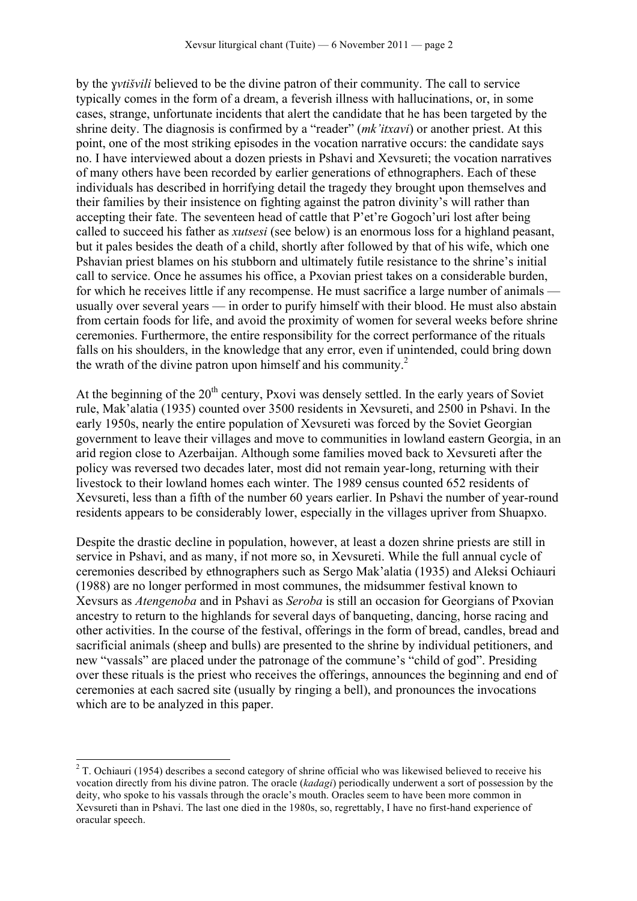by the *ɣvtišvili* believed to be the divine patron of their community. The call to service typically comes in the form of a dream, a feverish illness with hallucinations, or, in some cases, strange, unfortunate incidents that alert the candidate that he has been targeted by the shrine deity. The diagnosis is confirmed by a "reader" (*mk'itxavi*) or another priest. At this point, one of the most striking episodes in the vocation narrative occurs: the candidate says no. I have interviewed about a dozen priests in Pshavi and Xevsureti; the vocation narratives of many others have been recorded by earlier generations of ethnographers. Each of these individuals has described in horrifying detail the tragedy they brought upon themselves and their families by their insistence on fighting against the patron divinity's will rather than accepting their fate. The seventeen head of cattle that P'et're Gogoch'uri lost after being called to succeed his father as *xutsesi* (see below) is an enormous loss for a highland peasant, but it pales besides the death of a child, shortly after followed by that of his wife, which one Pshavian priest blames on his stubborn and ultimately futile resistance to the shrine's initial call to service. Once he assumes his office, a Pxovian priest takes on a considerable burden, for which he receives little if any recompense. He must sacrifice a large number of animals usually over several years — in order to purify himself with their blood. He must also abstain from certain foods for life, and avoid the proximity of women for several weeks before shrine ceremonies. Furthermore, the entire responsibility for the correct performance of the rituals falls on his shoulders, in the knowledge that any error, even if unintended, could bring down the wrath of the divine patron upon himself and his community. $2^2$ 

At the beginning of the  $20<sup>th</sup>$  century, Pxovi was densely settled. In the early years of Soviet rule, Mak'alatia (1935) counted over 3500 residents in Xevsureti, and 2500 in Pshavi. In the early 1950s, nearly the entire population of Xevsureti was forced by the Soviet Georgian government to leave their villages and move to communities in lowland eastern Georgia, in an arid region close to Azerbaijan. Although some families moved back to Xevsureti after the policy was reversed two decades later, most did not remain year-long, returning with their livestock to their lowland homes each winter. The 1989 census counted 652 residents of Xevsureti, less than a fifth of the number 60 years earlier. In Pshavi the number of year-round residents appears to be considerably lower, especially in the villages upriver from Shuapxo.

Despite the drastic decline in population, however, at least a dozen shrine priests are still in service in Pshavi, and as many, if not more so, in Xevsureti. While the full annual cycle of ceremonies described by ethnographers such as Sergo Mak'alatia (1935) and Aleksi Ochiauri (1988) are no longer performed in most communes, the midsummer festival known to Xevsurs as *Atengenoba* and in Pshavi as *Seroba* is still an occasion for Georgians of Pxovian ancestry to return to the highlands for several days of banqueting, dancing, horse racing and other activities. In the course of the festival, offerings in the form of bread, candles, bread and sacrificial animals (sheep and bulls) are presented to the shrine by individual petitioners, and new "vassals" are placed under the patronage of the commune's "child of god". Presiding over these rituals is the priest who receives the offerings, announces the beginning and end of ceremonies at each sacred site (usually by ringing a bell), and pronounces the invocations which are to be analyzed in this paper.

<sup>&</sup>lt;sup>2</sup> T. Ochiauri (1954) describes a second category of shrine official who was likewised believed to receive his vocation directly from his divine patron. The oracle (*kadagi*) periodically underwent a sort of possession by the deity, who spoke to his vassals through the oracle's mouth. Oracles seem to have been more common in Xevsureti than in Pshavi. The last one died in the 1980s, so, regrettably, I have no first-hand experience of oracular speech.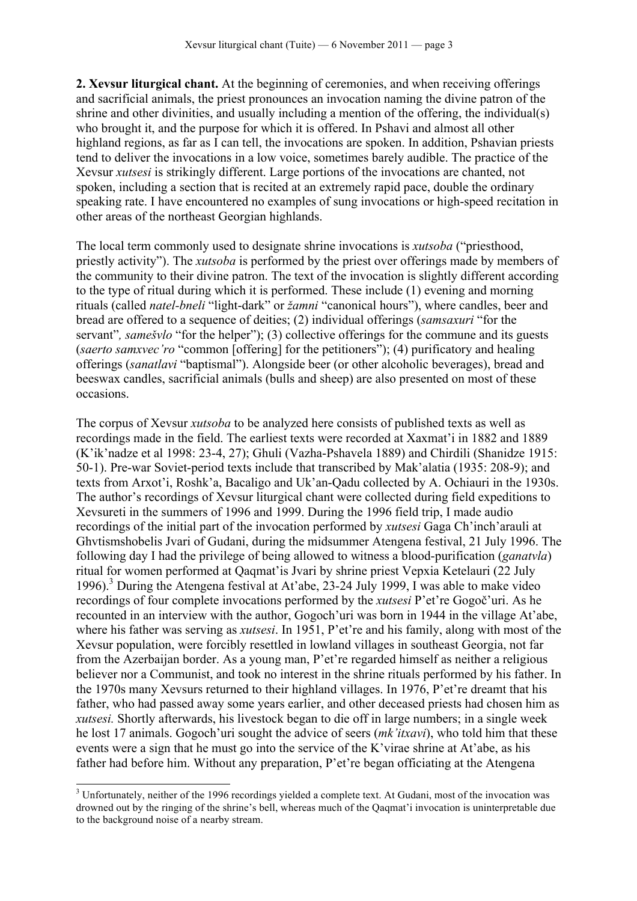**2. Xevsur liturgical chant.** At the beginning of ceremonies, and when receiving offerings and sacrificial animals, the priest pronounces an invocation naming the divine patron of the shrine and other divinities, and usually including a mention of the offering, the individual(s) who brought it, and the purpose for which it is offered. In Pshavi and almost all other highland regions, as far as I can tell, the invocations are spoken. In addition, Pshavian priests tend to deliver the invocations in a low voice, sometimes barely audible. The practice of the Xevsur *xutsesi* is strikingly different. Large portions of the invocations are chanted, not spoken, including a section that is recited at an extremely rapid pace, double the ordinary speaking rate. I have encountered no examples of sung invocations or high-speed recitation in other areas of the northeast Georgian highlands.

The local term commonly used to designate shrine invocations is *xutsoba* ("priesthood, priestly activity"). The *xutsoba* is performed by the priest over offerings made by members of the community to their divine patron. The text of the invocation is slightly different according to the type of ritual during which it is performed. These include (1) evening and morning rituals (called *natel-bneli* "light-dark" or *žamni* "canonical hours"), where candles, beer and bread are offered to a sequence of deities; (2) individual offerings (*samsaxuri* "for the servant"*, samešvlo* "for the helper"); (3) collective offerings for the commune and its guests (*saerto samxvec'ro* "common [offering] for the petitioners"); (4) purificatory and healing offerings (*sanatlavi* "baptismal"). Alongside beer (or other alcoholic beverages), bread and beeswax candles, sacrificial animals (bulls and sheep) are also presented on most of these occasions.

The corpus of Xevsur *xutsoba* to be analyzed here consists of published texts as well as recordings made in the field. The earliest texts were recorded at Xaxmat'i in 1882 and 1889 (K'ik'nadze et al 1998: 23-4, 27); Ghuli (Vazha-Pshavela 1889) and Chirdili (Shanidze 1915: 50-1). Pre-war Soviet-period texts include that transcribed by Mak'alatia (1935: 208-9); and texts from Arxot'i, Roshk'a, Bacaligo and Uk'an-Qadu collected by A. Ochiauri in the 1930s. The author's recordings of Xevsur liturgical chant were collected during field expeditions to Xevsureti in the summers of 1996 and 1999. During the 1996 field trip, I made audio recordings of the initial part of the invocation performed by *xutsesi* Gaga Ch'inch'arauli at Ghvtismshobelis Jvari of Gudani, during the midsummer Atengena festival, 21 July 1996. The following day I had the privilege of being allowed to witness a blood-purification (*ganatvla*) ritual for women performed at Qaqmat'is Jvari by shrine priest Vepxia Ketelauri (22 July 1996).<sup>3</sup> During the Atengena festival at At'abe, 23-24 July 1999. I was able to make video recordings of four complete invocations performed by the *xutsesi* P'et're Gogoč'uri. As he recounted in an interview with the author, Gogoch'uri was born in 1944 in the village At'abe, where his father was serving as *xutsesi*. In 1951, P'et're and his family, along with most of the Xevsur population, were forcibly resettled in lowland villages in southeast Georgia, not far from the Azerbaijan border. As a young man, P'et're regarded himself as neither a religious believer nor a Communist, and took no interest in the shrine rituals performed by his father. In the 1970s many Xevsurs returned to their highland villages. In 1976, P'et're dreamt that his father, who had passed away some years earlier, and other deceased priests had chosen him as *xutsesi.* Shortly afterwards, his livestock began to die off in large numbers; in a single week he lost 17 animals. Gogoch'uri sought the advice of seers (*mk'itxavi*), who told him that these events were a sign that he must go into the service of the K'virae shrine at At'abe, as his father had before him. Without any preparation, P'et're began officiating at the Atengena

<sup>&</sup>lt;sup>3</sup> Unfortunately, neither of the 1996 recordings yielded a complete text. At Gudani, most of the invocation was drowned out by the ringing of the shrine's bell, whereas much of the Qaqmat'i invocation is uninterpretable due to the background noise of a nearby stream.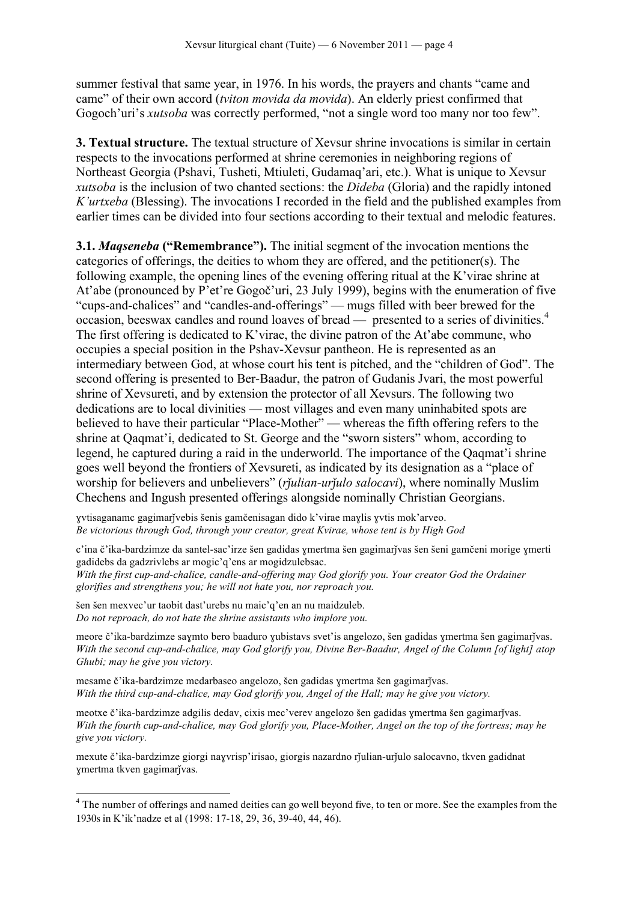summer festival that same year, in 1976. In his words, the prayers and chants "came and came" of their own accord (*tviton movida da movida*). An elderly priest confirmed that Gogoch'uri's *xutsoba* was correctly performed, "not a single word too many nor too few".

**3. Textual structure.** The textual structure of Xevsur shrine invocations is similar in certain respects to the invocations performed at shrine ceremonies in neighboring regions of Northeast Georgia (Pshavi, Tusheti, Mtiuleti, Gudamaq'ari, etc.). What is unique to Xevsur *xutsoba* is the inclusion of two chanted sections: the *Dideba* (Gloria) and the rapidly intoned *K'urtxeba* (Blessing). The invocations I recorded in the field and the published examples from earlier times can be divided into four sections according to their textual and melodic features.

**3.1.** *Maqseneba* **("Remembrance").** The initial segment of the invocation mentions the categories of offerings, the deities to whom they are offered, and the petitioner(s). The following example, the opening lines of the evening offering ritual at the K'virae shrine at At'abe (pronounced by P'et're Gogoč'uri, 23 July 1999), begins with the enumeration of five "cups-and-chalices" and "candles-and-offerings" — mugs filled with beer brewed for the occasion, beeswax candles and round loaves of bread — presented to a series of divinities.4 The first offering is dedicated to K'virae, the divine patron of the At'abe commune, who occupies a special position in the Pshav-Xevsur pantheon. He is represented as an intermediary between God, at whose court his tent is pitched, and the "children of God". The second offering is presented to Ber-Baadur, the patron of Gudanis Jvari, the most powerful shrine of Xevsureti, and by extension the protector of all Xevsurs. The following two dedications are to local divinities — most villages and even many uninhabited spots are believed to have their particular "Place-Mother" — whereas the fifth offering refers to the shrine at Qaqmat'i, dedicated to St. George and the "sworn sisters" whom, according to legend, he captured during a raid in the underworld. The importance of the Qaqmat'i shrine goes well beyond the frontiers of Xevsureti, as indicated by its designation as a "place of worship for believers and unbelievers" (*rjulian-urjulo salocavi*), where nominally Muslim Chechens and Ingush presented offerings alongside nominally Christian Georgians.

ɣvtisaganamc gagimarǰvebis šenis gamčenisagan dido k'virae maɣlis ɣvtis mok'arveo. *Be victorious through God, through your creator, great Kvirae, whose tent is by High God*

c'ina č'ika-bardzimze da santel-sac'irze šen gadidas ɣmertma šen gagimarǰvas šen šeni gamčeni morige ɣmerti gadidebs da gadzrivlebs ar mogic'q'ens ar mogidzulebsac.

*With the first cup-and-chalice, candle-and-offering may God glorify you. Your creator God the Ordainer glorifies and strengthens you; he will not hate you, nor reproach you.*

šen šen mexvec'ur taobit dast'urebs nu maic'q'en an nu maidzuleb. *Do not reproach, do not hate the shrine assistants who implore you.*

meore č'ika-bardzimze saymto bero baaduro yubistavs svet'is angelozo, šen gadidas ymertma šen gagimarjvas. *With the second cup-and-chalice, may God glorify you, Divine Ber-Baadur, Angel of the Column [of light] atop Ghubi; may he give you victory.*

mesame č'ika-bardzimze medarbaseo angelozo, šen gadidas ymertma šen gagimarjvas. *With the third cup-and-chalice, may God glorify you, Angel of the Hall; may he give you victory.*

meotxe č'ika-bardzimze adgilis dedav, cixis mec'verev angelozo šen gadidas ymertma šen gagimarīvas. *With the fourth cup-and-chalice, may God glorify you, Place-Mother, Angel on the top of the fortress; may he give you victory.*

mexute č'ika-bardzimze giorgi nayvrisp'irisao, giorgis nazardno rĭulian-urĭulo salocavno, tkven gadidnat ɣmertma tkven gagimarǰvas.

<sup>&</sup>lt;sup>4</sup> The number of offerings and named deities can go well beyond five, to ten or more. See the examples from the 1930s in K'ik'nadze et al (1998: 17-18, 29, 36, 39-40, 44, 46).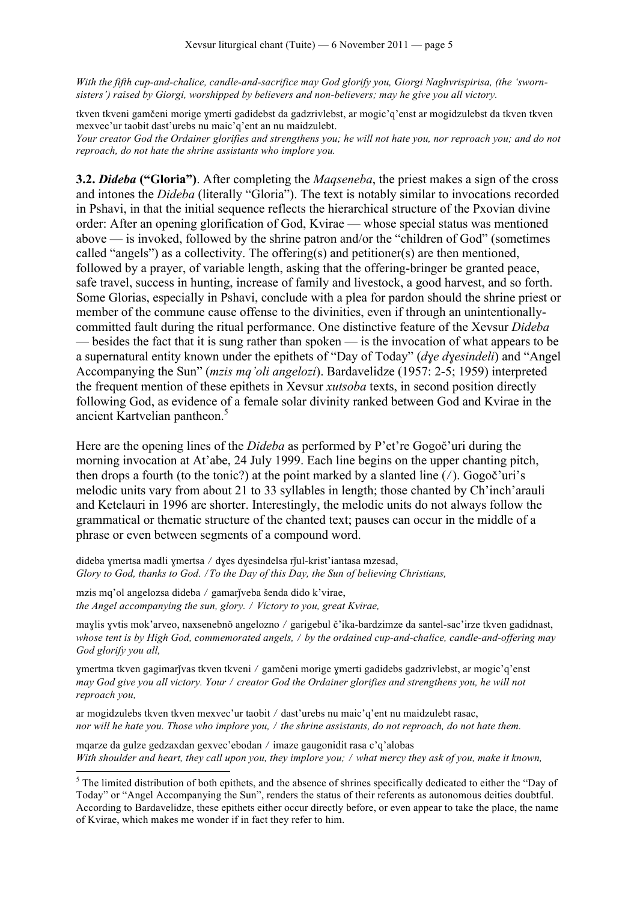*With the fifth cup-and-chalice, candle-and-sacrifice may God glorify you, Giorgi Naghvrispirisa, (the 'swornsisters') raised by Giorgi, worshipped by believers and non-believers; may he give you all victory.*

tkven tkveni gamčeni morige ɣmerti gadidebst da gadzrivlebst, ar mogic'q'enst ar mogidzulebst da tkven tkven mexvec'ur taobit dast'urebs nu maic'q'ent an nu maidzulebt. *Your creator God the Ordainer glorifies and strengthens you; he will not hate you, nor reproach you; and do not reproach, do not hate the shrine assistants who implore you.*

**3.2.** *Dideba* **("Gloria")**. After completing the *Maqseneba*, the priest makes a sign of the cross and intones the *Dideba* (literally "Gloria"). The text is notably similar to invocations recorded in Pshavi, in that the initial sequence reflects the hierarchical structure of the Pxovian divine order: After an opening glorification of God, Kvirae — whose special status was mentioned above — is invoked, followed by the shrine patron and/or the "children of God" (sometimes called "angels") as a collectivity. The offering(s) and petitioner(s) are then mentioned, followed by a prayer, of variable length, asking that the offering-bringer be granted peace, safe travel, success in hunting, increase of family and livestock, a good harvest, and so forth. Some Glorias, especially in Pshavi, conclude with a plea for pardon should the shrine priest or member of the commune cause offense to the divinities, even if through an unintentionallycommitted fault during the ritual performance. One distinctive feature of the Xevsur *Dideba* — besides the fact that it is sung rather than spoken — is the invocation of what appears to be a supernatural entity known under the epithets of "Day of Today" (*dɣe dɣesindeli*) and "Angel Accompanying the Sun" (*mzis mq'oli angelozi*). Bardavelidze (1957: 2-5; 1959) interpreted the frequent mention of these epithets in Xevsur *xutsoba* texts, in second position directly following God, as evidence of a female solar divinity ranked between God and Kvirae in the ancient Kartvelian pantheon.5

Here are the opening lines of the *Dideba* as performed by P'et're Gogoč'uri during the morning invocation at At'abe, 24 July 1999. Each line begins on the upper chanting pitch, then drops a fourth (to the tonic?) at the point marked by a slanted line  $\frac{\gamma}{\gamma}$ . Gogoč'uri's melodic units vary from about 21 to 33 syllables in length; those chanted by Ch'inch'arauli and Ketelauri in 1996 are shorter. Interestingly, the melodic units do not always follow the grammatical or thematic structure of the chanted text; pauses can occur in the middle of a phrase or even between segments of a compound word.

dideba ymertsa madli ymertsa / dyes dyesindelsa rĭul-krist'iantasa mzesad, *Glory to God, thanks to God. / To the Day of this Day, the Sun of believing Christians,* 

mzis mq'ol angelozsa dideba / gamarĭveba šenda dido k'virae, *the Angel accompanying the sun, glory.* ⧸ *Victory to you, great Kvirae,*

maylis yvtis mok'arveo, naxsenebnŏ angelozno / garigebul č'ika-bardzimze da santel-sac'irze tkven gadidnast, *whose tent is by High God, commemorated angels,* ⧸ *by the ordained cup-and-chalice, candle-and-offering may God glorify you all,*

ɣmertma tkven gagimarǰvas tkven tkveni ⧸ gamčeni morige ɣmerti gadidebs gadzrivlebst, ar mogic'q'enst *may God give you all victory. Your / creator God the Ordainer glorifies and strengthens you, he will not reproach you,* 

ar mogidzulebs tkven tkven mexvec'ur taobit ⧸ dast'urebs nu maic'q'ent nu maidzulebt rasac, *nor will he hate you. Those who implore you, / the shrine assistants, do not reproach, do not hate them.* 

mqarze da gulze gedzaxdan gexvec'ebodan ⧸ imaze gaugonidit rasa c'q'alobas *With shoulder and heart, they call upon you, they implore you; / what mercy they ask of you, make it known,* 

<sup>&</sup>lt;sup>5</sup> The limited distribution of both epithets, and the absence of shrines specifically dedicated to either the "Day of Today" or "Angel Accompanying the Sun", renders the status of their referents as autonomous deities doubtful. According to Bardavelidze, these epithets either occur directly before, or even appear to take the place, the name of Kvirae, which makes me wonder if in fact they refer to him.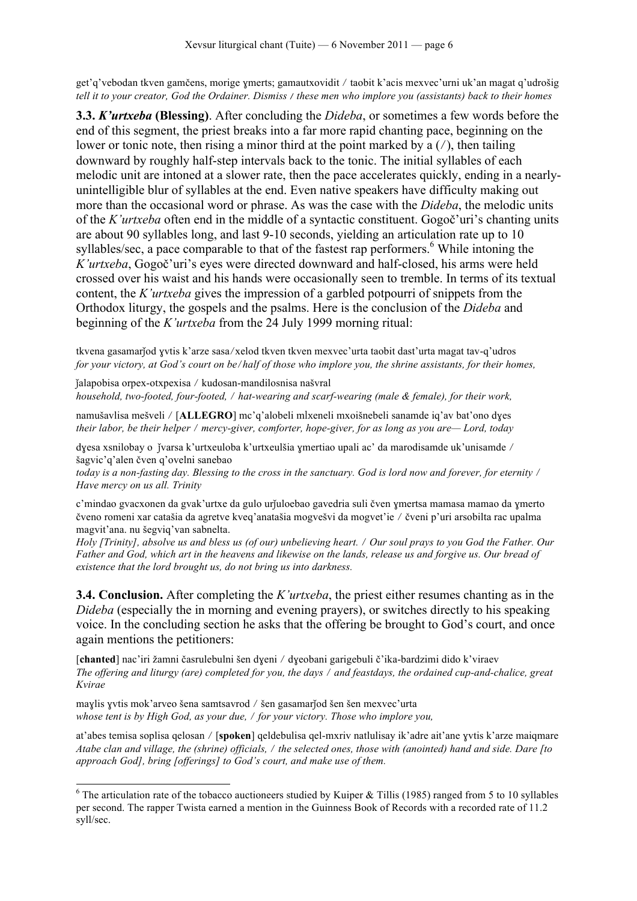get'q'vebodan tkven gamčens, morige ɣmerts; gamautxovidit ⧸ taobit k'acis mexvec'urni uk'an magat q'udrošig *tell it to your creator, God the Ordainer. Dismiss* / *these men who implore you (assistants) back to their homes*

**3.3.** *K'urtxeba* **(Blessing)**. After concluding the *Dideba*, or sometimes a few words before the end of this segment, the priest breaks into a far more rapid chanting pace, beginning on the lower or tonic note, then rising a minor third at the point marked by a  $\left(\frac{\ }{\right})$ , then tailing downward by roughly half-step intervals back to the tonic. The initial syllables of each melodic unit are intoned at a slower rate, then the pace accelerates quickly, ending in a nearlyunintelligible blur of syllables at the end. Even native speakers have difficulty making out more than the occasional word or phrase. As was the case with the *Dideba*, the melodic units of the *K'urtxeba* often end in the middle of a syntactic constituent. Gogoč'uri's chanting units are about 90 syllables long, and last 9-10 seconds, yielding an articulation rate up to 10 syllables/sec, a pace comparable to that of the fastest rap performers.<sup>6</sup> While intoning the *K'urtxeba*, Gogoč'uri's eyes were directed downward and half-closed, his arms were held crossed over his waist and his hands were occasionally seen to tremble. In terms of its textual content, the *K'urtxeba* gives the impression of a garbled potpourri of snippets from the Orthodox liturgy, the gospels and the psalms. Here is the conclusion of the *Dideba* and beginning of the *K'urtxeba* from the 24 July 1999 morning ritual:

tkvena gasamarǰod ɣvtis k'arze sasa⧸xelod tkven tkven mexvec'urta taobit dast'urta magat tav-q'udros *for your victory, at God's court on be/half of those who implore you, the shrine assistants, for their homes,* 

ǰalapobisa orpex-otxpexisa ⧸ kudosan-mandilosnisa našvral *household, two-footed, four-footed,* ⧸ *hat-wearing and scarf-wearing (male & female), for their work,*

namušavlisa mešveli ⧸ [**ALLEGRO**] mc'q'alobeli mlxeneli mxoišnebeli sanamde iq'av bat'ono dɣes *their labor, be their helper* ⧸ *mercy-giver, comforter, hope-giver, for as long as you are— Lord, today*

dyesa xsnilobay o ĭvarsa k'urtxeuloba k'urtxeulšia ymertiao upali ac' da marodisamde uk'unisamde / šagvic'q'alen čven q'ovelni sanebao

*today is a non-fasting day. Blessing to the cross in the sanctuary. God is lord now and forever, for eternity / Have mercy on us all. Trinity*

c'mindao gvacxonen da gvak'urtxe da gulo urǰuloebao gavedria suli čven ɣmertsa mamasa mamao da ɣmerto čveno romeni xar catašia da agretve kveq'anatašia mogvešvi da mogvet'ie ⧸ čveni p'uri arsobilta rac upalma magvit'ana. nu šegviq'van sabnelta.

*Holy [Trinity], absolve us and bless us (of our) unbelieving heart. / Our soul prays to you God the Father. Our Father and God, which art in the heavens and likewise on the lands, release us and forgive us. Our bread of existence that the lord brought us, do not bring us into darkness.* 

**3.4. Conclusion.** After completing the *K'urtxeba*, the priest either resumes chanting as in the *Dideba* (especially the in morning and evening prayers), or switches directly to his speaking voice. In the concluding section he asks that the offering be brought to God's court, and once again mentions the petitioners:

[**chanted**] nac'iri žamni časrulebulni šen dɣeni ⧸ dɣeobani garigebuli č'ika-bardzimi dido k'viraev *The offering and liturgy (are) completed for you, the days / and feastdays, the ordained cup-and-chalice, great Kvirae*

maylis yvtis mok'arveo šena samtsavrod / šen gasamarjod šen šen mexvec'urta *whose tent is by High God, as your due,* ⧸ *for your victory. Those who implore you,* 

at'abes temisa soplisa qelosan ⧸ [**spoken**] qeldebulisa qel-mxriv natlulisay ik'adre ait'ane ɣvtis k'arze maiqmare *Atabe clan and village, the (shrine) officials,* ⧸ *the selected ones, those with (anointed) hand and side. Dare [to approach God], bring [offerings] to God's court, and make use of them.*

 $6$  The articulation rate of the tobacco auctioneers studied by Kuiper & Tillis (1985) ranged from 5 to 10 syllables per second. The rapper Twista earned a mention in the Guinness Book of Records with a recorded rate of 11.2 syll/sec.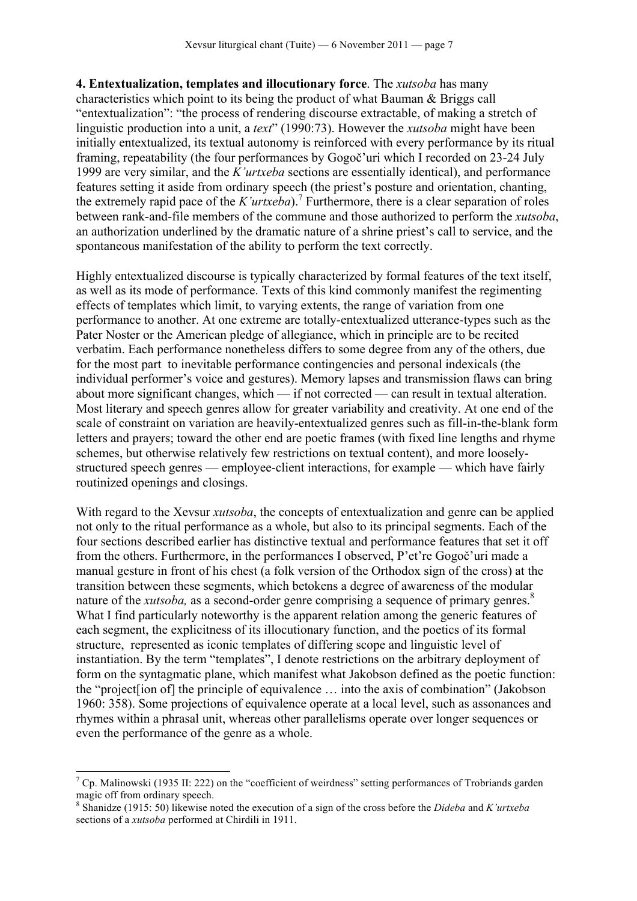**4. Entextualization, templates and illocutionary force**. The *xutsoba* has many characteristics which point to its being the product of what Bauman & Briggs call "entextualization": "the process of rendering discourse extractable, of making a stretch of linguistic production into a unit, a *text*" (1990:73). However the *xutsoba* might have been initially entextualized, its textual autonomy is reinforced with every performance by its ritual framing, repeatability (the four performances by Gogoč'uri which I recorded on 23-24 July 1999 are very similar, and the *K'urtxeba* sections are essentially identical), and performance features setting it aside from ordinary speech (the priest's posture and orientation, chanting, the extremely rapid pace of the *K'urtxeba*).<sup>7</sup> Furthermore, there is a clear separation of roles between rank-and-file members of the commune and those authorized to perform the *xutsoba*, an authorization underlined by the dramatic nature of a shrine priest's call to service, and the spontaneous manifestation of the ability to perform the text correctly.

Highly entextualized discourse is typically characterized by formal features of the text itself, as well as its mode of performance. Texts of this kind commonly manifest the regimenting effects of templates which limit, to varying extents, the range of variation from one performance to another. At one extreme are totally-entextualized utterance-types such as the Pater Noster or the American pledge of allegiance, which in principle are to be recited verbatim. Each performance nonetheless differs to some degree from any of the others, due for the most part to inevitable performance contingencies and personal indexicals (the individual performer's voice and gestures). Memory lapses and transmission flaws can bring about more significant changes, which — if not corrected — can result in textual alteration. Most literary and speech genres allow for greater variability and creativity. At one end of the scale of constraint on variation are heavily-entextualized genres such as fill-in-the-blank form letters and prayers; toward the other end are poetic frames (with fixed line lengths and rhyme schemes, but otherwise relatively few restrictions on textual content), and more looselystructured speech genres — employee-client interactions, for example — which have fairly routinized openings and closings.

With regard to the Xevsur *xutsoba*, the concepts of entextualization and genre can be applied not only to the ritual performance as a whole, but also to its principal segments. Each of the four sections described earlier has distinctive textual and performance features that set it off from the others. Furthermore, in the performances I observed, P'et're Gogoč'uri made a manual gesture in front of his chest (a folk version of the Orthodox sign of the cross) at the transition between these segments, which betokens a degree of awareness of the modular nature of the *xutsoba*, as a second-order genre comprising a sequence of primary genres.<sup>8</sup> What I find particularly noteworthy is the apparent relation among the generic features of each segment, the explicitness of its illocutionary function, and the poetics of its formal structure, represented as iconic templates of differing scope and linguistic level of instantiation. By the term "templates", I denote restrictions on the arbitrary deployment of form on the syntagmatic plane, which manifest what Jakobson defined as the poetic function: the "project[ion of] the principle of equivalence … into the axis of combination" (Jakobson 1960: 358). Some projections of equivalence operate at a local level, such as assonances and rhymes within a phrasal unit, whereas other parallelisms operate over longer sequences or even the performance of the genre as a whole.

 $<sup>7</sup>$  Cp. Malinowski (1935 II: 222) on the "coefficient of weirdness" setting performances of Trobriands garden</sup> magic off from ordinary speech.

<sup>8</sup> Shanidze (1915: 50) likewise noted the execution of a sign of the cross before the *Dideba* and *K'urtxeba*  sections of a *xutsoba* performed at Chirdili in 1911.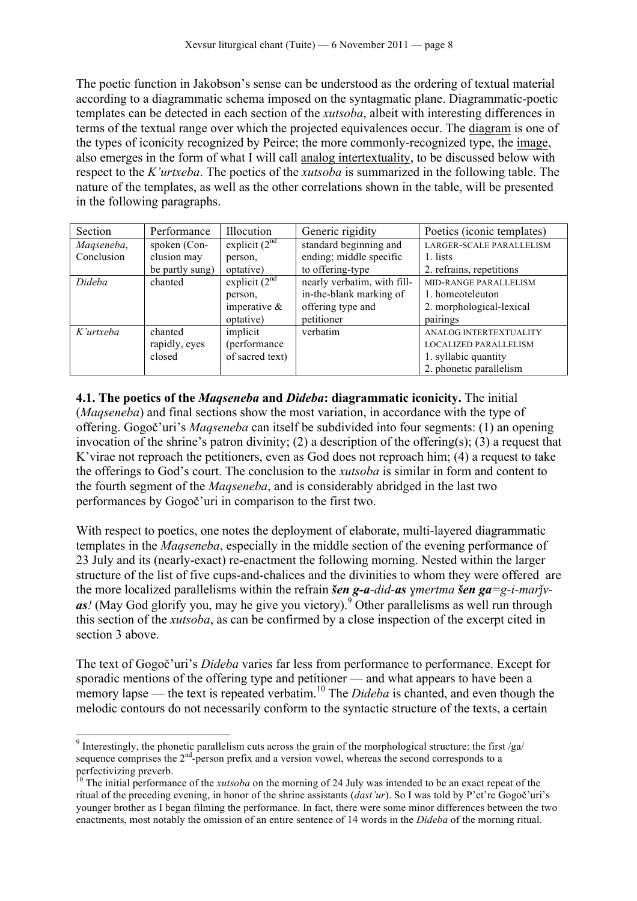The poetic function in Jakobson's sense can be understood as the ordering of textual material according to a diagrammatic schema imposed on the syntagmatic plane. Diagrammatic-poetic templates can be detected in each section of the *xutsoba*, albeit with interesting differences in terms of the textual range over which the projected equivalences occur. The diagram is one of the types of iconicity recognized by Peirce; the more commonly-recognized type, the image, also emerges in the form of what I will call analog intertextuality, to be discussed below with respect to the *K'urtxeba*. The poetics of the *xutsoba* is summarized in the following table. The nature of the templates, as well as the other correlations shown in the table, will be presented in the following paragraphs.

| Section    | Performance     | Illocution      | Generic rigidity            | Poetics (iconic templates)   |
|------------|-----------------|-----------------|-----------------------------|------------------------------|
| Maqseneba, | spoken (Con-    | explicit $(2nd$ | standard beginning and      | LARGER-SCALE PARALLELISM     |
| Conclusion | clusion may     | person,         | ending; middle specific     | 1. lists                     |
|            | be partly sung) | optative)       | to offering-type            | 2. refrains, repetitions     |
| Dideba     | chanted         | explicit $(2nd$ | nearly verbatim, with fill- | MID-RANGE PARALLELISM        |
|            |                 | person.         | in-the-blank marking of     | 1. homeoteleuton             |
|            |                 | imperative $\&$ | offering type and           | 2. morphological-lexical     |
|            |                 | optative)       | petitioner                  | pairings                     |
| K'urtxeba  | chanted         | implicit        | verbatim                    | ANALOG INTERTEXTUALITY       |
|            | rapidly, eyes   | (performance)   |                             | <b>LOCALIZED PARALLELISM</b> |
|            | closed          | of sacred text) |                             | 1. syllabic quantity         |
|            |                 |                 |                             | 2. phonetic parallelism      |

**4.1. The poetics of the** *Maqseneba* **and** *Dideba***: diagrammatic iconicity.** The initial (*Maqseneba*) and final sections show the most variation, in accordance with the type of offering. Gogoč'uri's *Maqseneba* can itself be subdivided into four segments: (1) an opening invocation of the shrine's patron divinity; (2) a description of the offering(s); (3) a request that K'virae not reproach the petitioners, even as God does not reproach him; (4) a request to take the offerings to God's court. The conclusion to the *xutsoba* is similar in form and content to the fourth segment of the *Maqseneba*, and is considerably abridged in the last two performances by Gogoč'uri in comparison to the first two.

With respect to poetics, one notes the deployment of elaborate, multi-layered diagrammatic templates in the *Maqseneba*, especially in the middle section of the evening performance of 23 July and its (nearly-exact) re-enactment the following morning. Nested within the larger structure of the list of five cups-and-chalices and the divinities to whom they were offered are the more localized parallelisms within the refrain *šen g-a-did-as ɣmertma šen ga=g-i-marǰvas!* (May God glorify you, may he give you victory).<sup>9</sup> Other parallelisms as well run through this section of the *xutsoba*, as can be confirmed by a close inspection of the excerpt cited in section 3 above.

The text of Gogoč'uri's *Dideba* varies far less from performance to performance. Except for sporadic mentions of the offering type and petitioner — and what appears to have been a memory lapse — the text is repeated verbatim.<sup>10</sup> The *Dideba* is chanted, and even though the melodic contours do not necessarily conform to the syntactic structure of the texts, a certain

<sup>&</sup>lt;sup>9</sup> Interestingly, the phonetic parallelism cuts across the grain of the morphological structure: the first /ga/ sequence comprises the 2<sup>nd</sup>-person prefix and a version vowel, whereas the second corresponds to a perfectivizing preverb.

<sup>&</sup>lt;sup>10</sup> The initial performance of the *xutsoba* on the morning of 24 July was intended to be an exact repeat of the ritual of the preceding evening, in honor of the shrine assistants (*dast'ur*). So I was told by P'et're Gogoč'uri's younger brother as I began filming the performance. In fact, there were some minor differences between the two enactments, most notably the omission of an entire sentence of 14 words in the *Dideba* of the morning ritual.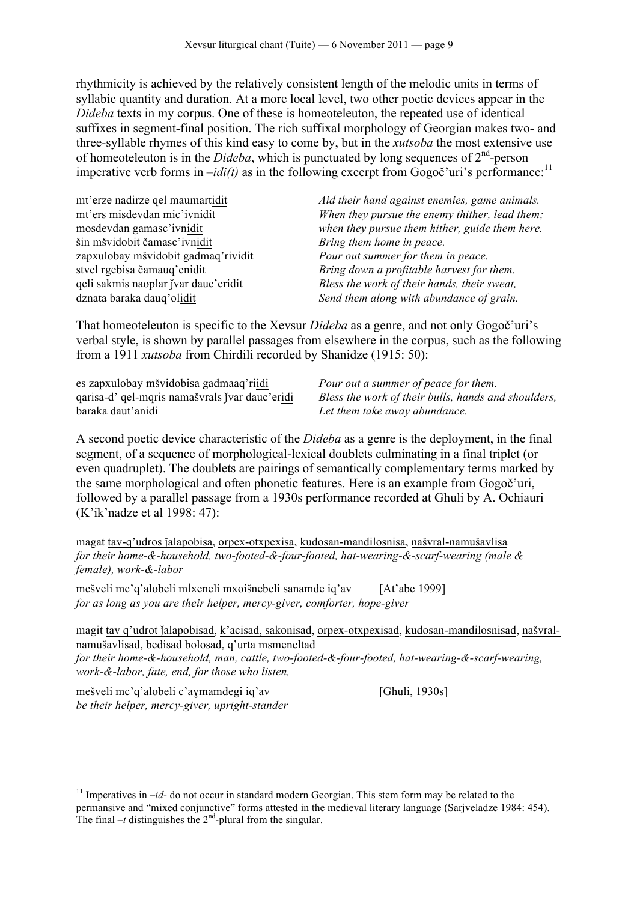rhythmicity is achieved by the relatively consistent length of the melodic units in terms of syllabic quantity and duration. At a more local level, two other poetic devices appear in the *Dideba* texts in my corpus. One of these is homeoteleuton, the repeated use of identical suffixes in segment-final position. The rich suffixal morphology of Georgian makes two- and three-syllable rhymes of this kind easy to come by, but in the *xutsoba* the most extensive use of homeoteleuton is in the *Dideba*, which is punctuated by long sequences of  $2<sup>nd</sup>$ -person imperative verb forms in  $-idi(t)$  as in the following excerpt from Gogoč'uri's performance:<sup>11</sup>

| mt'erze nadirze gel maumartidit      | Aid their hand against enemies, game animals.  |
|--------------------------------------|------------------------------------------------|
| mt'ers misdevdan mic'ivnidit         | When they pursue the enemy thither, lead them; |
| mosdevdan gamasc'ivnidit             | when they pursue them hither, guide them here. |
| šin mšvidobit čamasc'ivnidit         | Bring them home in peace.                      |
| zapxulobay mšvidobit gadmaq'rividit  | Pour out summer for them in peace.             |
| stvel rgebisa čamauq'enidit          | Bring down a profitable harvest for them.      |
| qeli sakmis naoplar jvar dauc'eridit | Bless the work of their hands, their sweat,    |
| dznata baraka daug'olidit            | Send them along with abundance of grain.       |

That homeoteleuton is specific to the Xevsur *Dideba* as a genre, and not only Gogoč'uri's verbal style, is shown by parallel passages from elsewhere in the corpus, such as the following from a 1911 *xutsoba* from Chirdili recorded by Shanidze (1915: 50):

es zapxulobay mšvidobisa gadmaaq'riidi *Pour out a summer of peace for them.* baraka daut'anidi *Let them take away abundance.*

qarisa-d' qel-mqris namašvrals jvar dauc'eridi *Bless the work of their bulls, hands and shoulders,* 

A second poetic device characteristic of the *Dideba* as a genre is the deployment, in the final segment, of a sequence of morphological-lexical doublets culminating in a final triplet (or even quadruplet). The doublets are pairings of semantically complementary terms marked by the same morphological and often phonetic features. Here is an example from Gogoč'uri, followed by a parallel passage from a 1930s performance recorded at Ghuli by A. Ochiauri (K'ik'nadze et al 1998: 47):

magat tav-q'udros jalapobisa, orpex-otxpexisa, kudosan-mandilosnisa, našvral-namušavlisa *for their home-&-household, two-footed-&-four-footed, hat-wearing-&-scarf-wearing (male & female), work-&-labor*

mešveli mc'q'alobeli mlxeneli mxoišnebeli sanamde iq'av [At'abe 1999] *for as long as you are their helper, mercy-giver, comforter, hope-giver*

magit tav q'udrot jalapobisad, k'acisad, sakonisad, orpex-otxpexisad, kudosan-mandilosnisad, našvralnamušavlisad, bedisad bolosad, q'urta msmeneltad

*for their home-&-household, man, cattle, two-footed-&-four-footed, hat-wearing-&-scarf-wearing, work-&-labor, fate, end, for those who listen,*

mešveli mc'q'alobeli c'aɣmamdegi iq'av [Ghuli, 1930s] *be their helper, mercy-giver, upright-stander*

<sup>&</sup>lt;sup>11</sup> Imperatives in  $-id$ - do not occur in standard modern Georgian. This stem form may be related to the permansive and "mixed conjunctive" forms attested in the medieval literary language (Sarjveladze 1984: 454). The final  $-t$  distinguishes the  $2<sup>nd</sup>$ -plural from the singular.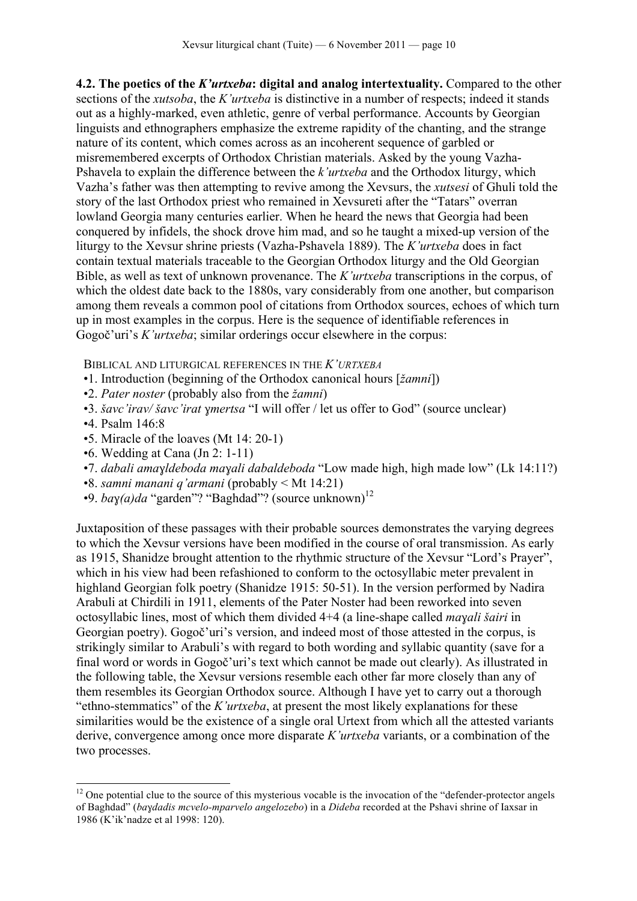**4.2. The poetics of the** *K'urtxeba***: digital and analog intertextuality.** Compared to the other sections of the *xutsoba*, the *K'urtxeba* is distinctive in a number of respects; indeed it stands out as a highly-marked, even athletic, genre of verbal performance. Accounts by Georgian linguists and ethnographers emphasize the extreme rapidity of the chanting, and the strange nature of its content, which comes across as an incoherent sequence of garbled or misremembered excerpts of Orthodox Christian materials. Asked by the young Vazha-Pshavela to explain the difference between the *k'urtxeba* and the Orthodox liturgy, which Vazha's father was then attempting to revive among the Xevsurs, the *xutsesi* of Ghuli told the story of the last Orthodox priest who remained in Xevsureti after the "Tatars" overran lowland Georgia many centuries earlier. When he heard the news that Georgia had been conquered by infidels, the shock drove him mad, and so he taught a mixed-up version of the liturgy to the Xevsur shrine priests (Vazha-Pshavela 1889). The *K'urtxeba* does in fact contain textual materials traceable to the Georgian Orthodox liturgy and the Old Georgian Bible, as well as text of unknown provenance. The *K'urtxeba* transcriptions in the corpus, of which the oldest date back to the 1880s, vary considerably from one another, but comparison among them reveals a common pool of citations from Orthodox sources, echoes of which turn up in most examples in the corpus. Here is the sequence of identifiable references in Gogoč'uri's *K'urtxeba*; similar orderings occur elsewhere in the corpus:

BIBLICAL AND LITURGICAL REFERENCES IN THE *K'URTXEBA*

- •1. Introduction (beginning of the Orthodox canonical hours [*žamni*])
- •2. *Pater noster* (probably also from the *žamni*)
- •3. *šavc'irav/ šavc'irat ɣmertsa* "I will offer / let us offer to God" (source unclear)
- •4. Psalm 146:8
- •5. Miracle of the loaves (Mt 14: 20-1)
- •6. Wedding at Cana (Jn 2: 1-11)
- •7. *dabali amaɣldeboda maɣali dabaldeboda* "Low made high, high made low" (Lk 14:11?)
- •8. *samni manani q'armani* (probably < Mt 14:21)
- •9. *baɣ(a)da* "garden"? "Baghdad"? (source unknown) 12

Juxtaposition of these passages with their probable sources demonstrates the varying degrees to which the Xevsur versions have been modified in the course of oral transmission. As early as 1915, Shanidze brought attention to the rhythmic structure of the Xevsur "Lord's Prayer", which in his view had been refashioned to conform to the octosyllabic meter prevalent in highland Georgian folk poetry (Shanidze 1915: 50-51). In the version performed by Nadira Arabuli at Chirdili in 1911, elements of the Pater Noster had been reworked into seven octosyllabic lines, most of which them divided 4+4 (a line-shape called *maɣali šairi* in Georgian poetry). Gogoč'uri's version, and indeed most of those attested in the corpus, is strikingly similar to Arabuli's with regard to both wording and syllabic quantity (save for a final word or words in Gogoč'uri's text which cannot be made out clearly). As illustrated in the following table, the Xevsur versions resemble each other far more closely than any of them resembles its Georgian Orthodox source. Although I have yet to carry out a thorough "ethno-stemmatics" of the *K'urtxeba*, at present the most likely explanations for these similarities would be the existence of a single oral Urtext from which all the attested variants derive, convergence among once more disparate *K'urtxeba* variants, or a combination of the two processes.

 $12$  One potential clue to the source of this mysterious vocable is the invocation of the "defender-protector angels" of Baghdad" (*baɣdadis mcvelo-mparvelo angelozebo*) in a *Dideba* recorded at the Pshavi shrine of Iaxsar in 1986 (K'ik'nadze et al 1998: 120).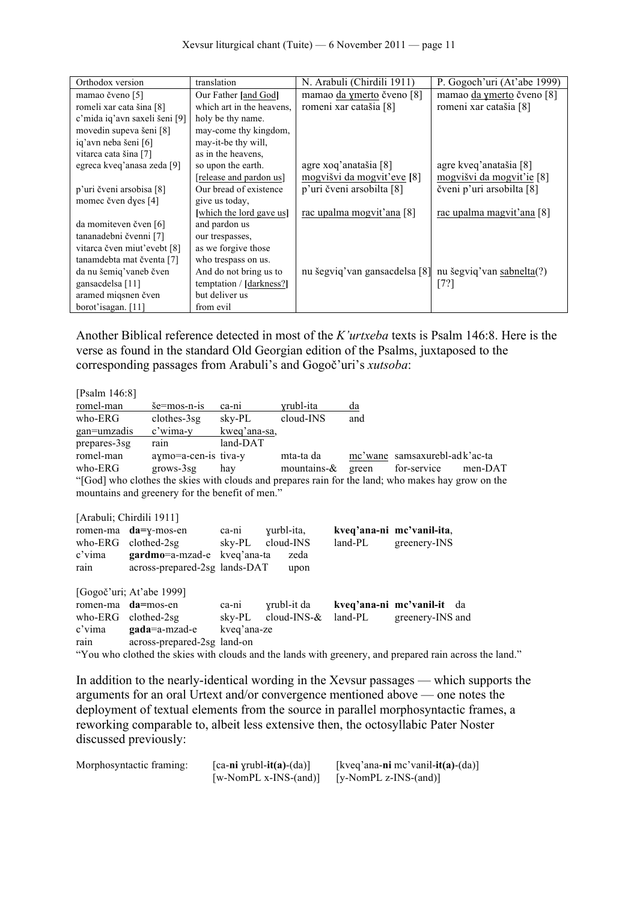| Orthodox version              | translation               | N. Arabuli (Chirdili 1911)                              | P. Gogoch'uri (At'abe 1999) |
|-------------------------------|---------------------------|---------------------------------------------------------|-----------------------------|
| mamao čveno [5]               | Our Father [and God]      | mamao da ymerto čveno [8]                               | mamao da ymerto čveno [8]   |
| romeli xar cata šina [8]      | which art in the heavens. | romeni xar catašia [8]                                  | romeni xar catašia [8]      |
| c'mida iq'avn saxeli šeni [9] | holy be thy name.         |                                                         |                             |
| movedin supeva šeni [8]       | may-come thy kingdom,     |                                                         |                             |
| iq'avn neba šeni [6]          | may-it-be thy will,       |                                                         |                             |
| vitarca cata šina [7]         | as in the heavens.        |                                                         |                             |
| egreca kveq'anasa zeda [9]    | so upon the earth.        | agre xoq'anatašia [8]                                   | agre kveq'anatašia [8]      |
|                               | [release and pardon us]   | mogvišvi da mogvit'eve [8]                              | mogvišvi da mogvit'ie [8]   |
| p'uri čveni arsobisa [8]      | Our bread of existence    | p'uri čveni arsobilta [8]                               | čveni p'uri arsobilta [8]   |
| momec čven dyes [4]           | give us today,            |                                                         |                             |
|                               | [which the lord gave us]  | rac upalma mogvit'ana [8]                               | rac upalma magvit'ana [8]   |
| da momiteven čven [6]         | and pardon us             |                                                         |                             |
| tananadebni čvenni [7]        | our trespasses,           |                                                         |                             |
| vitarca čven miut'evebt [8]   | as we forgive those       |                                                         |                             |
| tanam debta mat čventa [7]    | who trespass on us.       |                                                         |                             |
| da nu šemig' vaneb čven       | And do not bring us to    | nu šegviq'van gansacdelsa [8] nu šegviq'van sabnelta(?) |                             |
| gansacdelsa [11]              | temptation / [darkness?]  |                                                         | [72]                        |
| aramed miqsnen čven           | but deliver us            |                                                         |                             |
| borot'isagan. [11]            | from evil                 |                                                         |                             |

Another Biblical reference detected in most of the *K'urtxeba* texts is Psalm 146:8. Here is the verse as found in the standard Old Georgian edition of the Psalms, juxtaposed to the corresponding passages from Arabuli's and Gogoč'uri's *xutsoba*:

[Psalm 146:8] romel-man še=mos-n-is ca-ni ɣrubl-ita da who-ERG clothes-3sg sky-PL cloud-INS and gan=umzadis c'wima-y kweq'ana-sa, prepares-3sg rain land-DAT romel-man aɣmo=a-cen-is tiva-y mta-ta da mc'wane samsaxurebl-adk'ac-ta who-ERG grows-3sg hay mountains-& green for-service men-DAT "[God] who clothes the skies with clouds and prepares rain for the land; who makes hay grow on the mountains and greenery for the benefit of men." [Arabuli; Chirdili 1911] romen-ma **da=**ɣ-mos-en ca-ni ɣurbl-ita, **kveq'ana-ni mc'vanil-ita**,

|        | $10$ men-ma $ua-y$ -mos-en    | са-ш        | yului-ita.             |         | kveg ana-ni me vann-na,                                                                                 |
|--------|-------------------------------|-------------|------------------------|---------|---------------------------------------------------------------------------------------------------------|
|        | who-ERG clothed- $2sg$        |             | sky-PL cloud-INS       | land-PL | greenery-INS                                                                                            |
| c'vima | gardmo=a-mzad-e kveq'ana-ta   |             | zeda                   |         |                                                                                                         |
| rain   | across-prepared-2sg lands-DAT |             | upon                   |         |                                                                                                         |
|        | [Gogoč'uri; At'abe 1999]      |             |                        |         |                                                                                                         |
|        | romen-ma da=mos-en            | ca-ni       | yrubl-it da            |         | kveq'ana-ni mc'vanil-it da                                                                              |
|        | who-ERG clothed-2sg           |             | sky-PL cloud-INS- $\&$ | land-PL | greenery-INS and                                                                                        |
| c'vima | gada=a-mzad-e                 | kveq'ana-ze |                        |         |                                                                                                         |
| rain   | across-prepared-2sg land-on   |             |                        |         |                                                                                                         |
|        |                               |             |                        |         | "You who clothed the skies with clouds and the lands with greenery, and prepared rain across the land." |
|        |                               |             |                        |         |                                                                                                         |

In addition to the nearly-identical wording in the Xevsur passages — which supports the arguments for an oral Urtext and/or convergence mentioned above — one notes the deployment of textual elements from the source in parallel morphosyntactic frames, a reworking comparable to, albeit less extensive then, the octosyllabic Pater Noster discussed previously:

| Morphosyntactic framing: | $\lceil$ ca-ni yrubl-it(a)-(da) $\rceil$ | [kveq'ana-ni mc'vanil-it(a)-(da)] |
|--------------------------|------------------------------------------|-----------------------------------|
|                          | [w-NomPL $x$ -INS-(and)]                 | [y-NomPL z-INS-(and)]             |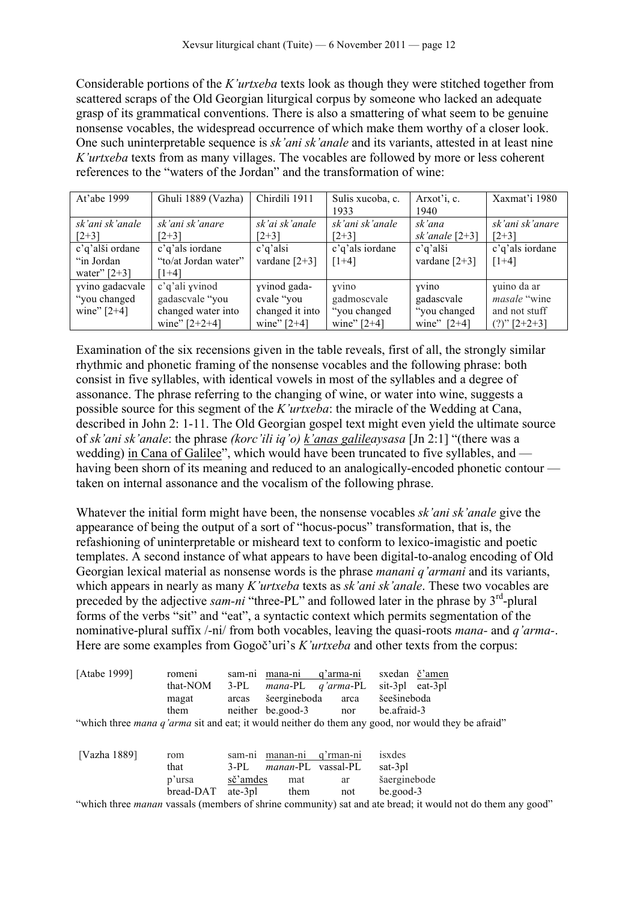Considerable portions of the *K'urtxeba* texts look as though they were stitched together from scattered scraps of the Old Georgian liturgical corpus by someone who lacked an adequate grasp of its grammatical conventions. There is also a smattering of what seem to be genuine nonsense vocables, the widespread occurrence of which make them worthy of a closer look. One such uninterpretable sequence is *sk'ani sk'anale* and its variants, attested in at least nine *K'urtxeba* texts from as many villages. The vocables are followed by more or less coherent references to the "waters of the Jordan" and the transformation of wine:

| At'abe 1999                                      | Ghuli 1889 (Vazha)                                                         | Chirdili 1911                                                  | Sulis xucoba, c.<br>1933                               | Arxot'i, c.<br>1940                                   | Xaxmat'i 1980                                                             |
|--------------------------------------------------|----------------------------------------------------------------------------|----------------------------------------------------------------|--------------------------------------------------------|-------------------------------------------------------|---------------------------------------------------------------------------|
| sk'ani sk'anale<br>$[2+3]$                       | sk'ani sk'anare<br>$[2+3]$                                                 | sk'ai sk'anale<br>$[2+3]$                                      | sk'ani sk'anale<br>$[2+3]$                             | sk'ana<br>sk'anale $[2+3]$                            | sk'ani sk'anare<br>$[2+3]$                                                |
| c'q'alši ordane<br>"in Jordan<br>water" $[2+3]$  | c'q'als iordane<br>"to/at Jordan water"<br>$\lceil 1+4 \rceil$             | c'q'alsi<br>vardane $[2+3]$                                    | c'q'als iordane<br>$[1+4]$                             | c'q'alši<br>vardane $[2+3]$                           | c'q'als iordane<br>$[1+4]$                                                |
| yvino gadacvale<br>"you changed<br>wine" $[2+4]$ | c'q'ali yvinod<br>gadascvale "you<br>changed water into<br>wine" $[2+2+4]$ | yvinod gada-<br>cvale "you<br>changed it into<br>wine" $[2+4]$ | yvino<br>gadmoscvale<br>"you changed"<br>wine" $[2+4]$ | yvino<br>gadascvale<br>"you changed"<br>wine" $[2+4]$ | yuino da ar<br><i>masale</i> "wine"<br>and not stuff<br>$(?)$ " $[2+2+3]$ |

Examination of the six recensions given in the table reveals, first of all, the strongly similar rhythmic and phonetic framing of the nonsense vocables and the following phrase: both consist in five syllables, with identical vowels in most of the syllables and a degree of assonance. The phrase referring to the changing of wine, or water into wine, suggests a possible source for this segment of the *K'urtxeba*: the miracle of the Wedding at Cana, described in John 2: 1-11. The Old Georgian gospel text might even yield the ultimate source of *sk'ani sk'anale*: the phrase *(korc'ili iq'o) k'anas galileaysasa* [Jn 2:1] "(there was a wedding) in Cana of Galilee", which would have been truncated to five syllables, and having been shorn of its meaning and reduced to an analogically-encoded phonetic contour taken on internal assonance and the vocalism of the following phrase.

Whatever the initial form might have been, the nonsense vocables *sk'ani sk'anale* give the appearance of being the output of a sort of "hocus-pocus" transformation, that is, the refashioning of uninterpretable or misheard text to conform to lexico-imagistic and poetic templates. A second instance of what appears to have been digital-to-analog encoding of Old Georgian lexical material as nonsense words is the phrase *manani q'armani* and its variants, which appears in nearly as many *K'urtxeba* texts as *sk'ani sk'anale*. These two vocables are preceded by the adjective *sam-ni* "three-PL" and followed later in the phrase by 3<sup>rd</sup>-plural forms of the verbs "sit" and "eat", a syntactic context which permits segmentation of the nominative-plural suffix /-ni/ from both vocables, leaving the quasi-roots *mana-* and *q'arma-*. Here are some examples from Gogoč'uri's *K'urtxeba* and other texts from the corpus:

| [Atabe 1999] | romeni    | sam-ni   | mana-ni           | q'arma-ni                 | sxedan č'amen                                                                                                            |
|--------------|-----------|----------|-------------------|---------------------------|--------------------------------------------------------------------------------------------------------------------------|
|              | that-NOM  | $3-PL$   |                   | $mana-PL$ q'arma-PL       | sit-3pl eat-3pl                                                                                                          |
|              | magat     | arcas    | šeergineboda      | arca                      | šeešineboda                                                                                                              |
|              | them      |          | neither be.good-3 | nor                       | be afraid-3                                                                                                              |
|              |           |          |                   |                           | "which three <i>mana q'arma</i> sit and eat; it would neither do them any good, nor would they be afraid"                |
|              |           |          |                   |                           |                                                                                                                          |
| [Vazha 1889] | rom       |          | sam-ni manan-ni   | q'rman-ni                 | isxdes                                                                                                                   |
|              | that      | $3-PI$   |                   | <i>manan-PL</i> vassal-PL | sat-3pl                                                                                                                  |
|              | p'ursa    | sč'amdes | mat               | ar                        | šaerginebode                                                                                                             |
|              | bread-DAT | ate-3pl  | them              | not                       | be.google.3                                                                                                              |
|              |           |          |                   |                           | . ((a) the those common considerable for an affairmed common the same and and the board. In considerable than an one and |

which three *manan* vassals (members of shrine community) sat and ate bread; it would not do them any good"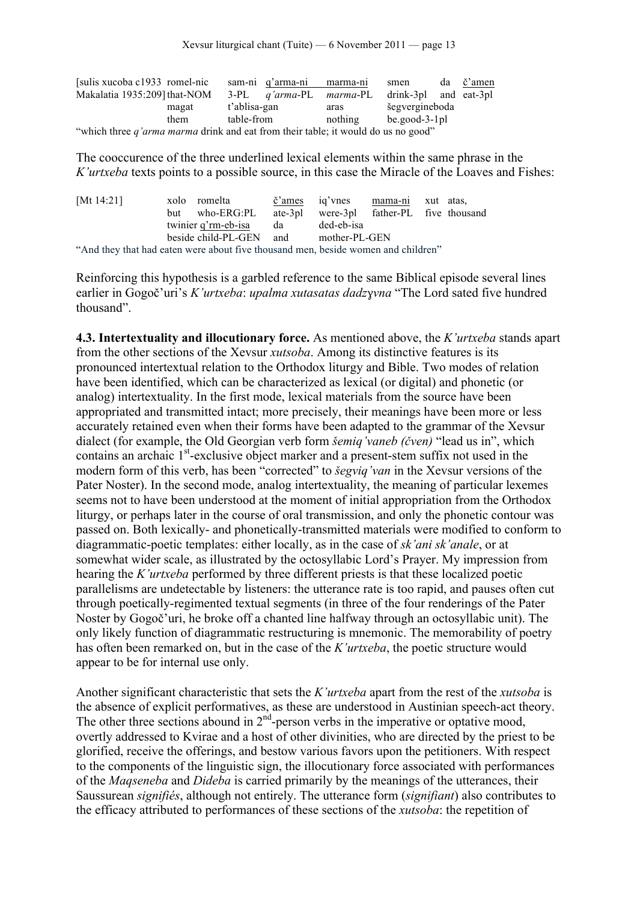| [sulis xucoba c1933 romel-nic]                                                    |       |              | sam-ni q'arma-ni               | marma-ni | smen                  | da | č'amen |  |
|-----------------------------------------------------------------------------------|-------|--------------|--------------------------------|----------|-----------------------|----|--------|--|
| Makalatia 1935:209] that-NOM                                                      |       |              | 3-PL <i>a'arma-PL marma-PL</i> |          | drink-3pl and eat-3pl |    |        |  |
|                                                                                   | magat | t'ablisa-gan |                                | aras     | šegvergineboda        |    |        |  |
|                                                                                   | them  | table-from   |                                | nothing  | $be.good-3-1pl$       |    |        |  |
| "which three q'arma marma drink and eat from their table; it would do us no good" |       |              |                                |          |                       |    |        |  |

The cooccurence of the three underlined lexical elements within the same phrase in the *K'urtxeba* texts points to a possible source, in this case the Miracle of the Loaves and Fishes:

| [Mt 14:21]                                                                        |     | xolo romelta            |      | č'ames ig'vnes mama-ni xut atas,         |  |  |
|-----------------------------------------------------------------------------------|-----|-------------------------|------|------------------------------------------|--|--|
|                                                                                   | but | who-ERG:PL              |      | ate-3pl were-3pl father-PL five thousand |  |  |
|                                                                                   |     | twinier q'rm-eb-isa     | da l | ded-eb-isa                               |  |  |
|                                                                                   |     | beside child-PL-GEN and |      | mother-PL-GEN                            |  |  |
| "And they that had eaten were about five thousand men, beside women and children" |     |                         |      |                                          |  |  |

Reinforcing this hypothesis is a garbled reference to the same Biblical episode several lines earlier in Gogoč'uri's *K'urtxeba*: *upalma xutasatas dadzɣvna* "The Lord sated five hundred thousand".

**4.3. Intertextuality and illocutionary force.** As mentioned above, the *K'urtxeba* stands apart from the other sections of the Xevsur *xutsoba*. Among its distinctive features is its pronounced intertextual relation to the Orthodox liturgy and Bible. Two modes of relation have been identified, which can be characterized as lexical (or digital) and phonetic (or analog) intertextuality. In the first mode, lexical materials from the source have been appropriated and transmitted intact; more precisely, their meanings have been more or less accurately retained even when their forms have been adapted to the grammar of the Xevsur dialect (for example, the Old Georgian verb form *šemiq'vaneb (čven)* "lead us in", which contains an archaic  $1<sup>st</sup>$ -exclusive object marker and a present-stem suffix not used in the modern form of this verb, has been "corrected" to *šegviq'van* in the Xevsur versions of the Pater Noster). In the second mode, analog intertextuality, the meaning of particular lexemes seems not to have been understood at the moment of initial appropriation from the Orthodox liturgy, or perhaps later in the course of oral transmission, and only the phonetic contour was passed on. Both lexically- and phonetically-transmitted materials were modified to conform to diagrammatic-poetic templates: either locally, as in the case of *sk'ani sk'anale*, or at somewhat wider scale, as illustrated by the octosyllabic Lord's Prayer. My impression from hearing the *K'urtxeba* performed by three different priests is that these localized poetic parallelisms are undetectable by listeners: the utterance rate is too rapid, and pauses often cut through poetically-regimented textual segments (in three of the four renderings of the Pater Noster by Gogoč'uri, he broke off a chanted line halfway through an octosyllabic unit). The only likely function of diagrammatic restructuring is mnemonic. The memorability of poetry has often been remarked on, but in the case of the *K'urtxeba*, the poetic structure would appear to be for internal use only.

Another significant characteristic that sets the *K'urtxeba* apart from the rest of the *xutsoba* is the absence of explicit performatives, as these are understood in Austinian speech-act theory. The other three sections abound in  $2<sup>nd</sup>$ -person verbs in the imperative or optative mood, overtly addressed to Kvirae and a host of other divinities, who are directed by the priest to be glorified, receive the offerings, and bestow various favors upon the petitioners. With respect to the components of the linguistic sign, the illocutionary force associated with performances of the *Maqseneba* and *Dideba* is carried primarily by the meanings of the utterances, their Saussurean *signifiés*, although not entirely. The utterance form (*signifiant*) also contributes to the efficacy attributed to performances of these sections of the *xutsoba*: the repetition of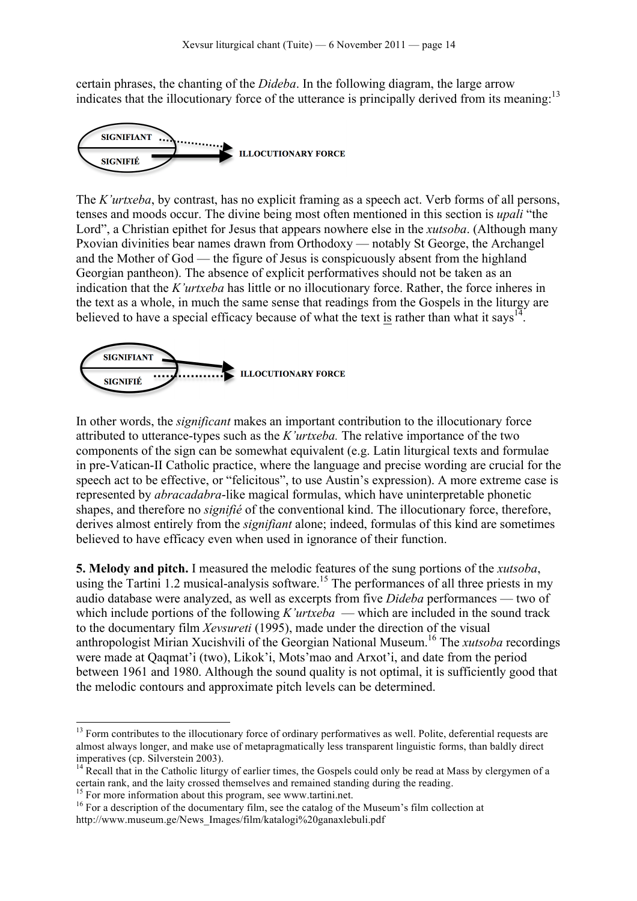certain phrases, the chanting of the *Dideba*. In the following diagram, the large arrow indicates that the illocutionary force of the utterance is principally derived from its meaning:<sup>13</sup>



The *K'urtxeba*, by contrast, has no explicit framing as a speech act. Verb forms of all persons, tenses and moods occur. The divine being most often mentioned in this section is *upali* "the Lord", a Christian epithet for Jesus that appears nowhere else in the *xutsoba*. (Although many Pxovian divinities bear names drawn from Orthodoxy — notably St George, the Archangel and the Mother of God — the figure of Jesus is conspicuously absent from the highland Georgian pantheon). The absence of explicit performatives should not be taken as an indication that the *K'urtxeba* has little or no illocutionary force. Rather, the force inheres in the text as a whole, in much the same sense that readings from the Gospels in the liturgy are believed to have a special efficacy because of what the text is rather than what it says<sup>14</sup>.



In other words, the *significant* makes an important contribution to the illocutionary force attributed to utterance-types such as the *K'urtxeba.* The relative importance of the two components of the sign can be somewhat equivalent (e.g. Latin liturgical texts and formulae in pre-Vatican-II Catholic practice, where the language and precise wording are crucial for the speech act to be effective, or "felicitous", to use Austin's expression). A more extreme case is represented by *abracadabra*-like magical formulas, which have uninterpretable phonetic shapes, and therefore no *signifié* of the conventional kind. The illocutionary force, therefore, derives almost entirely from the *signifiant* alone; indeed, formulas of this kind are sometimes believed to have efficacy even when used in ignorance of their function.

**5. Melody and pitch.** I measured the melodic features of the sung portions of the *xutsoba*, using the Tartini 1.2 musical-analysis software.<sup>15</sup> The performances of all three priests in my audio database were analyzed, as well as excerpts from five *Dideba* performances — two of which include portions of the following *K'urtxeba* — which are included in the sound track to the documentary film *Xevsureti* (1995), made under the direction of the visual anthropologist Mirian Xucishvili of the Georgian National Museum.16 The *xutsoba* recordings were made at Qaqmat'i (two), Likok'i, Mots'mao and Arxot'i, and date from the period between 1961 and 1980. Although the sound quality is not optimal, it is sufficiently good that the melodic contours and approximate pitch levels can be determined.

<sup>&</sup>lt;sup>13</sup> Form contributes to the illocutionary force of ordinary performatives as well. Polite, deferential requests are almost always longer, and make use of metapragmatically less transparent linguistic forms, than baldly direct imperatives (cp. Silverstein 2003).<br><sup>14</sup> Recall that in the Catholic liturgy of earlier times, the Gospels could only be read at Mass by clergymen of a

certain rank, and the laity crossed themselves and remained standing during the reading.<br><sup>15</sup> For more information about this program, see www.tartini.net.<br><sup>16</sup> For a description of the documentary film, see the catalog of

http://www.museum.ge/News\_Images/film/katalogi%20ganaxlebuli.pdf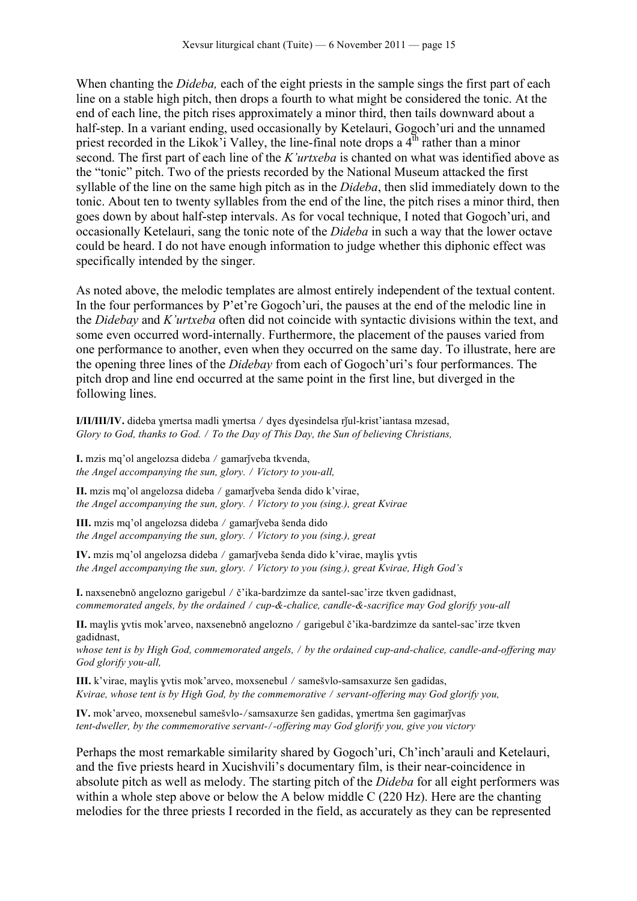When chanting the *Dideba,* each of the eight priests in the sample sings the first part of each line on a stable high pitch, then drops a fourth to what might be considered the tonic. At the end of each line, the pitch rises approximately a minor third, then tails downward about a half-step. In a variant ending, used occasionally by Ketelauri, Gogoch'uri and the unnamed priest recorded in the Likok'i Valley, the line-final note drops a  $4<sup>th</sup>$  rather than a minor second. The first part of each line of the *K'urtxeba* is chanted on what was identified above as the "tonic" pitch. Two of the priests recorded by the National Museum attacked the first syllable of the line on the same high pitch as in the *Dideba*, then slid immediately down to the tonic. About ten to twenty syllables from the end of the line, the pitch rises a minor third, then goes down by about half-step intervals. As for vocal technique, I noted that Gogoch'uri, and occasionally Ketelauri, sang the tonic note of the *Dideba* in such a way that the lower octave could be heard. I do not have enough information to judge whether this diphonic effect was specifically intended by the singer.

As noted above, the melodic templates are almost entirely independent of the textual content. In the four performances by P'et're Gogoch'uri, the pauses at the end of the melodic line in the *Didebay* and *K'urtxeba* often did not coincide with syntactic divisions within the text, and some even occurred word-internally. Furthermore, the placement of the pauses varied from one performance to another, even when they occurred on the same day. To illustrate, here are the opening three lines of the *Didebay* from each of Gogoch'uri's four performances. The pitch drop and line end occurred at the same point in the first line, but diverged in the following lines.

**I/II/III/IV.** dideba ɣmertsa madli ɣmertsa ⧸ dɣes dɣesindelsa rǰul-krist'iantasa mzesad, *Glory to God, thanks to God. / To the Day of This Day, the Sun of believing Christians,* 

**I.** mzis mq'ol angelozsa dideba ⧸ gamarǰveba tkvenda, *the Angel accompanying the sun, glory.* ⧸ *Victory to you-all,*

**II.** mzis mq'ol angelozsa dideba ⧸ gamarǰveba šenda dido k'virae, *the Angel accompanying the sun, glory.* ⧸ *Victory to you (sing.), great Kvirae*

**III.** mzis mq'ol angelozsa dideba / gamarĭveba šenda dido *the Angel accompanying the sun, glory.* ⧸ *Victory to you (sing.), great* 

**IV.** mzis mq'ol angelozsa dideba ⧸ gamarǰveba šenda dido k'virae, maɣlis ɣvtis *the Angel accompanying the sun, glory.* ⧸ *Victory to you (sing.), great Kvirae, High God's*

**I.** naxsenebnǒ angelozno garigebul / č'ika-bardzimze da santel-sac'irze tkven gadidnast, *commemorated angels, by the ordained / cup-&-chalice, candle-&-sacrifice may God glorify you-all* 

**II.** maylis yvtis mok'arveo, naxsenebnŏ angelozno / garigebul č'ika-bardzimze da santel-sac'irze tkven gadidnast,

*whose tent is by High God, commemorated angels,* ⧸ *by the ordained cup-and-chalice, candle-and-offering may God glorify you-all,*

**III.** k'virae, maɣlis ɣvtis mok'arveo, moxsenebul ⧸ samešvlo-samsaxurze šen gadidas, *Kvirae, whose tent is by High God, by the commemorative / servant-offering may God glorify you,* 

**IV.** mok'arveo, moxsenebul samešvlo-/samsaxurze šen gadidas, ymertma šen gagimarjvas *tent-dweller, by the commemorative servant-*⧸*-offering may God glorify you, give you victory*

Perhaps the most remarkable similarity shared by Gogoch'uri, Ch'inch'arauli and Ketelauri, and the five priests heard in Xucishvili's documentary film, is their near-coincidence in absolute pitch as well as melody. The starting pitch of the *Dideba* for all eight performers was within a whole step above or below the A below middle C (220 Hz). Here are the chanting melodies for the three priests I recorded in the field, as accurately as they can be represented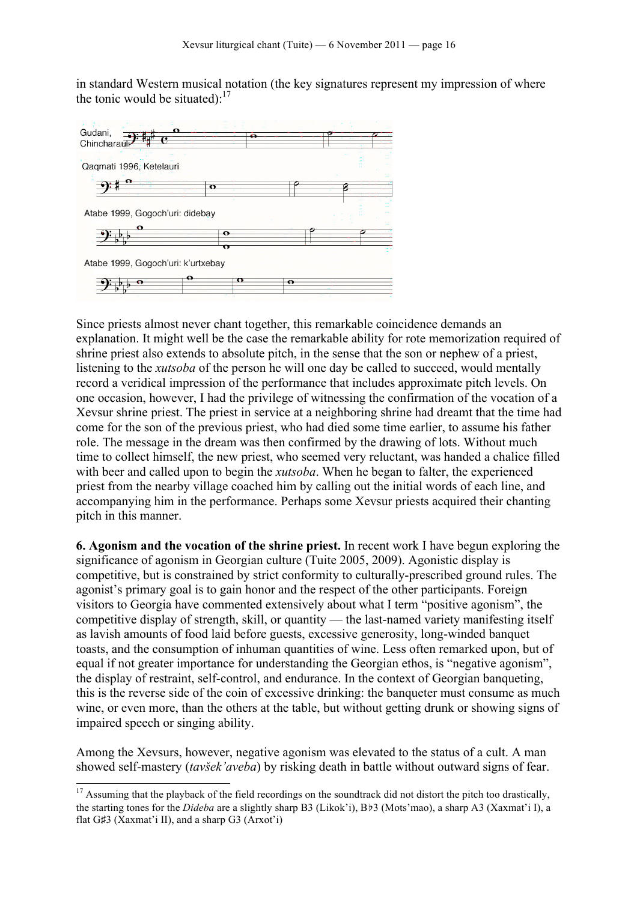in standard Western musical notation (the key signatures represent my impression of where the tonic would be situated): $17$ 



Since priests almost never chant together, this remarkable coincidence demands an explanation. It might well be the case the remarkable ability for rote memorization required of shrine priest also extends to absolute pitch, in the sense that the son or nephew of a priest, listening to the *xutsoba* of the person he will one day be called to succeed, would mentally record a veridical impression of the performance that includes approximate pitch levels. On one occasion, however, I had the privilege of witnessing the confirmation of the vocation of a Xevsur shrine priest. The priest in service at a neighboring shrine had dreamt that the time had come for the son of the previous priest, who had died some time earlier, to assume his father role. The message in the dream was then confirmed by the drawing of lots. Without much time to collect himself, the new priest, who seemed very reluctant, was handed a chalice filled with beer and called upon to begin the *xutsoba*. When he began to falter, the experienced priest from the nearby village coached him by calling out the initial words of each line, and accompanying him in the performance. Perhaps some Xevsur priests acquired their chanting pitch in this manner.

**6. Agonism and the vocation of the shrine priest.** In recent work I have begun exploring the significance of agonism in Georgian culture (Tuite 2005, 2009). Agonistic display is competitive, but is constrained by strict conformity to culturally-prescribed ground rules. The agonist's primary goal is to gain honor and the respect of the other participants. Foreign visitors to Georgia have commented extensively about what I term "positive agonism", the competitive display of strength, skill, or quantity — the last-named variety manifesting itself as lavish amounts of food laid before guests, excessive generosity, long-winded banquet toasts, and the consumption of inhuman quantities of wine. Less often remarked upon, but of equal if not greater importance for understanding the Georgian ethos, is "negative agonism", the display of restraint, self-control, and endurance. In the context of Georgian banqueting, this is the reverse side of the coin of excessive drinking: the banqueter must consume as much wine, or even more, than the others at the table, but without getting drunk or showing signs of impaired speech or singing ability.

Among the Xevsurs, however, negative agonism was elevated to the status of a cult. A man showed self-mastery (*tavšek'aveba*) by risking death in battle without outward signs of fear.

<sup>&</sup>lt;sup>17</sup> Assuming that the playback of the field recordings on the soundtrack did not distort the pitch too drastically, the starting tones for the *Dideba* are a slightly sharp B3 (Likok'i), B♭3 (Mots'mao), a sharp A3 (Xaxmat'i I), a flat G♯3 (Xaxmat'i II), and a sharp G3 (Arxot'i)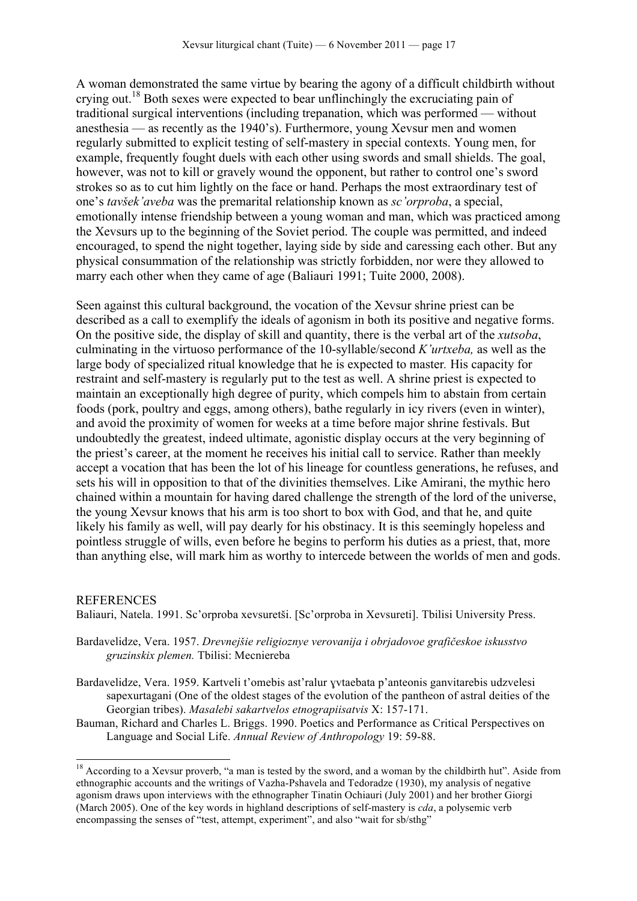A woman demonstrated the same virtue by bearing the agony of a difficult childbirth without crying out.<sup>18</sup> Both sexes were expected to bear unflinchingly the excruciating pain of traditional surgical interventions (including trepanation, which was performed — without anesthesia — as recently as the 1940's). Furthermore, young Xevsur men and women regularly submitted to explicit testing of self-mastery in special contexts. Young men, for example, frequently fought duels with each other using swords and small shields. The goal, however, was not to kill or gravely wound the opponent, but rather to control one's sword strokes so as to cut him lightly on the face or hand. Perhaps the most extraordinary test of one's *tavšek'aveba* was the premarital relationship known as *sc'orproba*, a special, emotionally intense friendship between a young woman and man, which was practiced among the Xevsurs up to the beginning of the Soviet period. The couple was permitted, and indeed encouraged, to spend the night together, laying side by side and caressing each other. But any physical consummation of the relationship was strictly forbidden, nor were they allowed to marry each other when they came of age (Baliauri 1991; Tuite 2000, 2008).

Seen against this cultural background, the vocation of the Xevsur shrine priest can be described as a call to exemplify the ideals of agonism in both its positive and negative forms. On the positive side, the display of skill and quantity, there is the verbal art of the *xutsoba*, culminating in the virtuoso performance of the 10-syllable/second *K'urtxeba,* as well as the large body of specialized ritual knowledge that he is expected to master*.* His capacity for restraint and self-mastery is regularly put to the test as well. A shrine priest is expected to maintain an exceptionally high degree of purity, which compels him to abstain from certain foods (pork, poultry and eggs, among others), bathe regularly in icy rivers (even in winter), and avoid the proximity of women for weeks at a time before major shrine festivals. But undoubtedly the greatest, indeed ultimate, agonistic display occurs at the very beginning of the priest's career, at the moment he receives his initial call to service. Rather than meekly accept a vocation that has been the lot of his lineage for countless generations, he refuses, and sets his will in opposition to that of the divinities themselves. Like Amirani, the mythic hero chained within a mountain for having dared challenge the strength of the lord of the universe, the young Xevsur knows that his arm is too short to box with God, and that he, and quite likely his family as well, will pay dearly for his obstinacy. It is this seemingly hopeless and pointless struggle of wills, even before he begins to perform his duties as a priest, that, more than anything else, will mark him as worthy to intercede between the worlds of men and gods.

## REFERENCES

Baliauri, Natela. 1991. Sc'orproba xevsuretši. [Sc'orproba in Xevsureti]. Tbilisi University Press.

- Bardavelidze, Vera. 1957. *Drevnejšie religioznye verovanija i obrjadovoe grafičeskoe iskusstvo gruzinskix plemen.* Tbilisi: Mecniereba
- Bardavelidze, Vera. 1959. Kartveli t'omebis ast'ralur ɣvtaebata p'anteonis ganvitarebis udzvelesi sapexurtagani (One of the oldest stages of the evolution of the pantheon of astral deities of the Georgian tribes). *Masalebi sakartvelos etnograpiisatvis* X: 157-171.
- Bauman, Richard and Charles L. Briggs. 1990. Poetics and Performance as Critical Perspectives on Language and Social Life. *Annual Review of Anthropology* 19: 59-88.

<sup>&</sup>lt;sup>18</sup> According to a Xevsur proverb, "a man is tested by the sword, and a woman by the childbirth hut". Aside from ethnographic accounts and the writings of Vazha-Pshavela and Tedoradze (1930), my analysis of negative agonism draws upon interviews with the ethnographer Tinatin Ochiauri (July 2001) and her brother Giorgi (March 2005). One of the key words in highland descriptions of self-mastery is *cda*, a polysemic verb encompassing the senses of "test, attempt, experiment", and also "wait for sb/sthg"